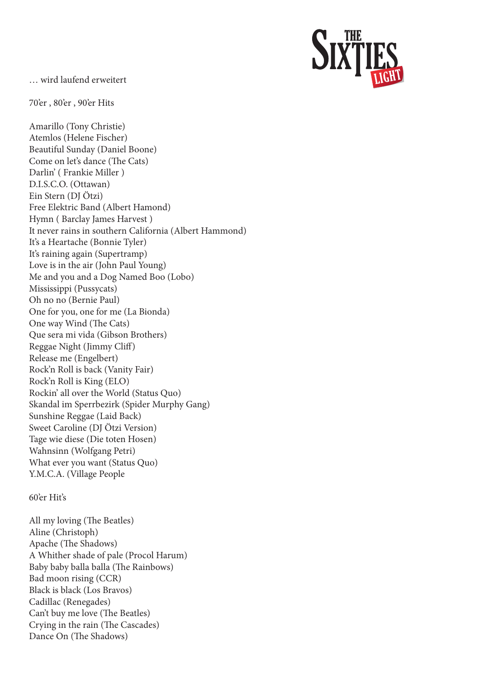… wird laufend erweitert

70'er , 80'er , 90'er Hits

Amarillo (Tony Christie) Atemlos (Helene Fischer) Beautiful Sunday (Daniel Boone) Come on let's dance (The Cats) Darlin' ( Frankie Miller ) D.I.S.C.O. (Ottawan) Ein Stern (DJ Ötzi) Free Elektric Band (Albert Hamond) Hymn ( Barclay James Harvest ) It never rains in southern California (Albert Hammond) It's a Heartache (Bonnie Tyler) It's raining again (Supertramp) Love is in the air (John Paul Young) Me and you and a Dog Named Boo (Lobo) Mississippi (Pussycats) Oh no no (Bernie Paul) One for you, one for me (La Bionda) One way Wind (The Cats) Que sera mi vida (Gibson Brothers) Reggae Night (Jimmy Cliff) Release me (Engelbert) Rock'n Roll is back (Vanity Fair) Rock'n Roll is King (ELO) Rockin' all over the World (Status Quo) Skandal im Sperrbezirk (Spider Murphy Gang) Sunshine Reggae (Laid Back) Sweet Caroline (DJ Ötzi Version) Tage wie diese (Die toten Hosen) Wahnsinn (Wolfgang Petri) What ever you want (Status Quo) Y.M.C.A. (Village People

## 60'er Hit's

All my loving (The Beatles) Aline (Christoph) Apache (The Shadows) A Whither shade of pale (Procol Harum) Baby baby balla balla (The Rainbows) Bad moon rising (CCR) Black is black (Los Bravos) Cadillac (Renegades) Can't buy me love (The Beatles) Crying in the rain (The Cascades) Dance On (The Shadows)

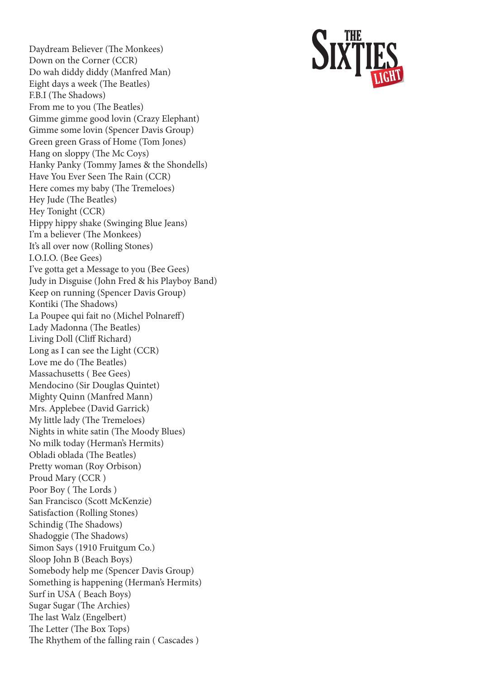Daydream Believer (The Monkees) Down on the Corner (CCR) Do wah diddy diddy (Manfred Man) Eight days a week (The Beatles) F.B.I (The Shadows) From me to you (The Beatles) Gimme gimme good lovin (Crazy Elephant) Gimme some lovin (Spencer Davis Group) Green green Grass of Home (Tom Jones) Hang on sloppy (The Mc Coys) Hanky Panky (Tommy James & the Shondells) Have You Ever Seen The Rain (CCR) Here comes my baby (The Tremeloes) Hey Jude (The Beatles) Hey Tonight (CCR) Hippy hippy shake (Swinging Blue Jeans) I'm a believer (The Monkees) It's all over now (Rolling Stones) I.O.I.O. (Bee Gees) I've gotta get a Message to you (Bee Gees) Judy in Disguise (John Fred & his Playboy Band) Keep on running (Spencer Davis Group) Kontiki (The Shadows) La Poupee qui fait no (Michel Polnareff) Lady Madonna (The Beatles) Living Doll (Cliff Richard) Long as I can see the Light (CCR) Love me do (The Beatles) Massachusetts ( Bee Gees) Mendocino (Sir Douglas Quintet) Mighty Quinn (Manfred Mann) Mrs. Applebee (David Garrick) My little lady (The Tremeloes) Nights in white satin (The Moody Blues) No milk today (Herman's Hermits) Obladi oblada (The Beatles) Pretty woman (Roy Orbison) Proud Mary (CCR ) Poor Boy ( The Lords ) San Francisco (Scott McKenzie) Satisfaction (Rolling Stones) Schindig (The Shadows) Shadoggie (The Shadows) Simon Says (1910 Fruitgum Co.) Sloop John B (Beach Boys) Somebody help me (Spencer Davis Group) Something is happening (Herman's Hermits) Surf in USA ( Beach Boys) Sugar Sugar (The Archies) The last Walz (Engelbert) The Letter (The Box Tops) The Rhythem of the falling rain ( Cascades )